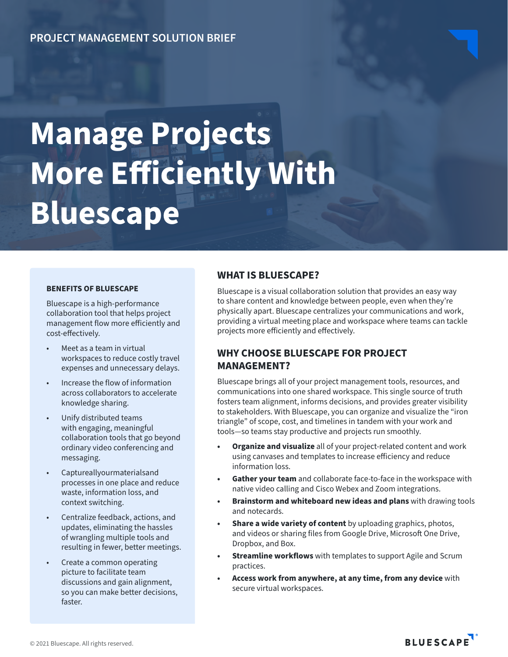## **PROJECT MANAGEMENT SOLUTION BRIEF**

# **Manage Projects More Efficiently With Bluescape**

#### **BENEFITS OF BLUESCAPE**

Bluescape is a high-performance collaboration tool that helps project management flow more efficiently and cost-effectively.

- Meet as a team in virtual workspaces to reduce costly travel expenses and unnecessary delays.
- Increase the flow of information across collaborators to accelerate knowledge sharing.
- Unify distributed teams with engaging, meaningful collaboration tools that go beyond ordinary video conferencing and messaging.
- Captureallyourmaterialsand processes in one place and reduce waste, information loss, and context switching.
- Centralize feedback, actions, and updates, eliminating the hassles of wrangling multiple tools and resulting in fewer, better meetings.
- Create a common operating picture to facilitate team discussions and gain alignment, so you can make better decisions, faster.

### **WHAT IS BLUESCAPE?**

Bluescape is a visual collaboration solution that provides an easy way to share content and knowledge between people, even when they're physically apart. Bluescape centralizes your communications and work, providing a virtual meeting place and workspace where teams can tackle projects more efficiently and effectively.

## **WHY CHOOSE BLUESCAPE FOR PROJECT MANAGEMENT?**

Bluescape brings all of your project management tools, resources, and communications into one shared workspace. This single source of truth fosters team alignment, informs decisions, and provides greater visibility to stakeholders. With Bluescape, you can organize and visualize the "iron triangle" of scope, cost, and timelines in tandem with your work and tools—so teams stay productive and projects run smoothly.

- **• Organize and visualize** all of your project-related content and work using canvases and templates to increase efficiency and reduce information loss.
- **• Gather your team** and collaborate face-to-face in the workspace with native video calling and Cisco Webex and Zoom integrations.
- **• Brainstorm and whiteboard new ideas and plans** with drawing tools and notecards.
- **• Share a wide variety of content** by uploading graphics, photos, and videos or sharing files from Google Drive, Microsoft One Drive, Dropbox, and Box.
- **• Streamline workflows** with templates to support Agile and Scrum practices.
- **• Access work from anywhere, at any time, from any device** with secure virtual workspaces.